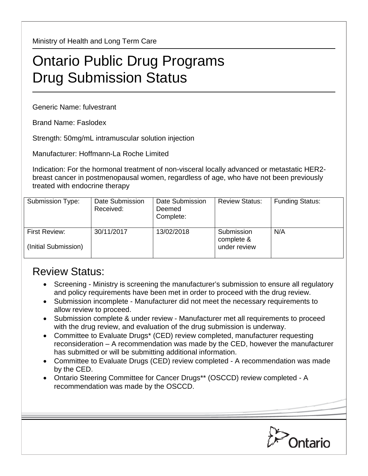Ministry of Health and Long Term Care

## Ontario Public Drug Programs Drug Submission Status

Generic Name: fulvestrant

Brand Name: Faslodex

Strength: 50mg/mL intramuscular solution injection

Manufacturer: Hoffmann-La Roche Limited

Indication: For the hormonal treatment of non-visceral locally advanced or metastatic HER2 breast cancer in postmenopausal women, regardless of age, who have not been previously treated with endocrine therapy

| Submission Type:                             | Date Submission<br>Received: | Date Submission<br>Deemed<br>Complete: | <b>Review Status:</b>                    | <b>Funding Status:</b> |
|----------------------------------------------|------------------------------|----------------------------------------|------------------------------------------|------------------------|
| <b>First Review:</b><br>(Initial Submission) | 30/11/2017                   | 13/02/2018                             | Submission<br>complete &<br>under review | N/A                    |

## Review Status:

- Screening Ministry is screening the manufacturer's submission to ensure all regulatory and policy requirements have been met in order to proceed with the drug review.
- Submission incomplete Manufacturer did not meet the necessary requirements to allow review to proceed.
- Submission complete & under review Manufacturer met all requirements to proceed with the drug review, and evaluation of the drug submission is underway.
- Committee to Evaluate Drugs\* (CED) review completed, manufacturer requesting reconsideration – A recommendation was made by the CED, however the manufacturer has submitted or will be submitting additional information.
- Committee to Evaluate Drugs (CED) review completed A recommendation was made by the CED.
- Ontario Steering Committee for Cancer Drugs\*\* (OSCCD) review completed A recommendation was made by the OSCCD.